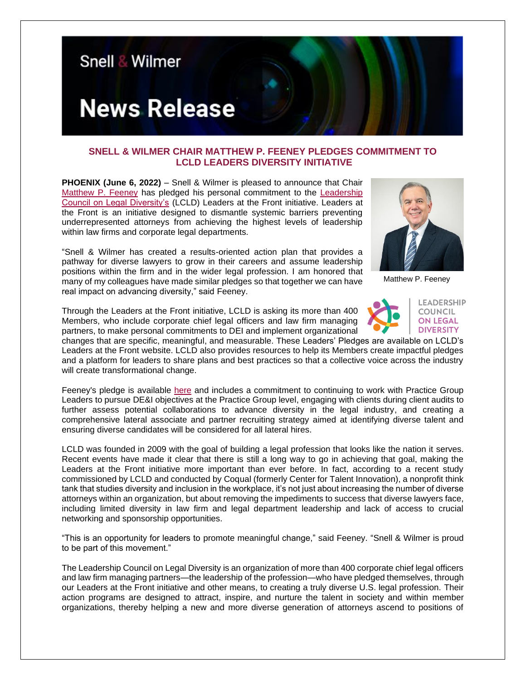

## **SNELL & WILMER CHAIR MATTHEW P. FEENEY PLEDGES COMMITMENT TO LCLD LEADERS DIVERSITY INITIATIVE**

**PHOENIX (June 6, 2022)** – Snell & Wilmer is pleased to announce that Chair [Matthew P. Feeney](https://www.swlaw.com/people/matt_feeney) has pledged his personal commitment to the [Leadership](https://www.lcldnet.org/)  [Council on Legal Diversity's](https://www.lcldnet.org/) (LCLD) Leaders at the Front initiative. Leaders at the Front is an initiative designed to dismantle systemic barriers preventing underrepresented attorneys from achieving the highest levels of leadership within law firms and corporate legal departments.

"Snell & Wilmer has created a results-oriented action plan that provides a pathway for diverse lawyers to grow in their careers and assume leadership positions within the firm and in the wider legal profession. I am honored that many of my colleagues have made similar pledges so that together we can have real impact on advancing diversity," said Feeney.



Matthew P. Feeney

**LEADERSHIP** COUNCIL **ON LEGAL DIVERSITY** 

Through the Leaders at the Front initiative, LCLD is asking its more than 400 Members, who include corporate chief legal officers and law firm managing partners, to make personal commitments to DEI and implement organizational

changes that are specific, meaningful, and measurable. These Leaders' Pledges are available on LCLD's Leaders at the Front website. LCLD also provides resources to help its Members create impactful pledges and a platform for leaders to share plans and best practices so that a collective voice across the industry will create transformational change.

Feeney's pledge is available [here](https://www.lcldnet.org/leaders-at-the-front/leader-pledges/matthew-feeney/) and includes a commitment to continuing to work with Practice Group Leaders to pursue DE&I objectives at the Practice Group level, engaging with clients during client audits to further assess potential collaborations to advance diversity in the legal industry, and creating a comprehensive lateral associate and partner recruiting strategy aimed at identifying diverse talent and ensuring diverse candidates will be considered for all lateral hires.

LCLD was founded in 2009 with the goal of building a legal profession that looks like the nation it serves. Recent events have made it clear that there is still a long way to go in achieving that goal, making the Leaders at the Front initiative more important than ever before. In fact, according to a recent study commissioned by LCLD and conducted by Coqual (formerly Center for Talent Innovation), a nonprofit think tank that studies diversity and inclusion in the workplace, it's not just about increasing the number of diverse attorneys within an organization, but about removing the impediments to success that diverse lawyers face, including limited diversity in law firm and legal department leadership and lack of access to crucial networking and sponsorship opportunities.

"This is an opportunity for leaders to promote meaningful change," said Feeney. "Snell & Wilmer is proud to be part of this movement."

The Leadership Council on Legal Diversity is an organization of more than 400 corporate chief legal officers and law firm managing partners—the leadership of the profession—who have pledged themselves, through our Leaders at the Front initiative and other means, to creating a truly diverse U.S. legal profession. Their action programs are designed to attract, inspire, and nurture the talent in society and within member organizations, thereby helping a new and more diverse generation of attorneys ascend to positions of